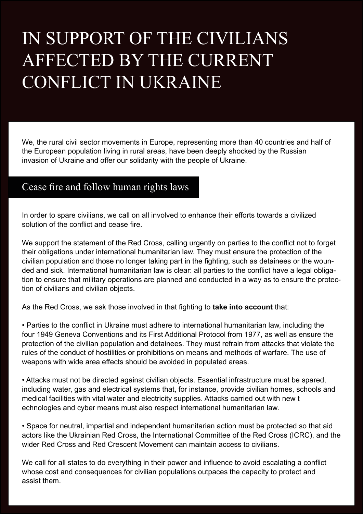## IN SUPPORT OF THE CIVILIANS AFFECTED BY THE CURRENT CONFLICT IN UKRAINE

We, the rural civil sector movements in Europe, representing more than 40 countries and half of the European population living in rural areas, have been deeply shocked by the Russian invasion of Ukraine and offer our solidarity with the people of Ukraine.

## Cease fire and follow human rights laws

In order to spare civilians, we call on all involved to enhance their efforts towards a civilized solution of the conflict and cease fire.

We support the statement of the Red Cross, calling urgently on parties to the conflict not to forget their obligations under international humanitarian law. They must ensure the protection of the civilian population and those no longer taking part in the fighting, such as detainees or the wounded and sick. International humanitarian law is clear: all parties to the conflict have a legal obligation to ensure that military operations are planned and conducted in a way as to ensure the protection of civilians and civilian objects.

As the Red Cross, we ask those involved in that fighting to **take into account** that:

• Parties to the conflict in Ukraine must adhere to international humanitarian law, including the four 1949 Geneva Conventions and its First Additional Protocol from 1977, as well as ensure the protection of the civilian population and detainees. They must refrain from attacks that violate the rules of the conduct of hostilities or prohibitions on means and methods of warfare. The use of weapons with wide area effects should be avoided in populated areas.

• Attacks must not be directed against civilian objects. Essential infrastructure must be spared, including water, gas and electrical systems that, for instance, provide civilian homes, schools and medical facilities with vital water and electricity supplies. Attacks carried out with new t echnologies and cyber means must also respect international humanitarian law.

• Space for neutral, impartial and independent humanitarian action must be protected so that aid actors like the Ukrainian Red Cross, the International Committee of the Red Cross (ICRC), and the wider Red Cross and Red Crescent Movement can maintain access to civilians.

We call for all states to do everything in their power and influence to avoid escalating a conflict whose cost and consequences for civilian populations outpaces the capacity to protect and assist them.